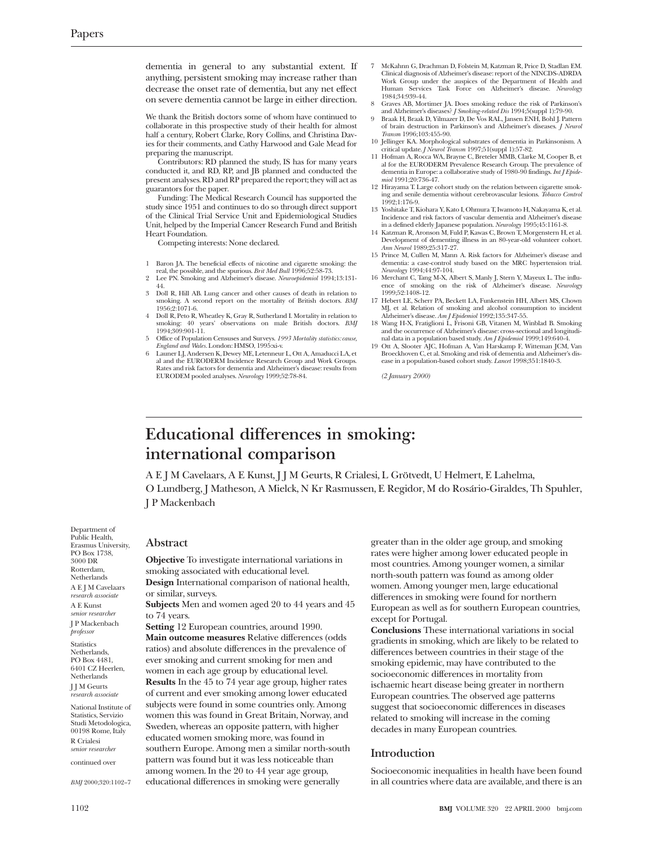dementia in general to any substantial extent. If anything, persistent smoking may increase rather than decrease the onset rate of dementia, but any net effect on severe dementia cannot be large in either direction.

We thank the British doctors some of whom have continued to collaborate in this prospective study of their health for almost half a century, Robert Clarke, Rory Collins, and Christina Davies for their comments, and Cathy Harwood and Gale Mead for preparing the manuscript.

Contributors: RD planned the study, IS has for many years conducted it, and RD, RP, and JB planned and conducted the present analyses. RD and RP prepared the report; they will act as guarantors for the paper.

Funding: The Medical Research Council has supported the study since 1951 and continues to do so through direct support of the Clinical Trial Service Unit and Epidemiological Studies Unit, helped by the Imperial Cancer Research Fund and British Heart Foundation.

Competing interests: None declared.

- 1 Baron JA. The beneficial effects of nicotine and cigarette smoking: the
- real, the possible, and the spurious. *Brit Med Bull* 1996;52:58-73. 2 Lee PN. Smoking and Alzheimer's disease. *Neuroepidemiol* 1994;13:131-
- 44. 3 Doll R, Hill AB. Lung cancer and other causes of death in relation to smoking. A second report on the mortality of British doctors. *BMJ* 1956;2:1071-6.
- 4 Doll R, Peto R, Wheatley K, Gray R, Sutherland I. Mortality in relation to smoking: 40 years' observations on male British doctors. *BMJ* 1994;309:901-11.
- 5 Office of Population Censuses and Surveys. *1993 Mortality statistics: cause, England and Wales*. London: HMSO, 1995:xi-v.
- 6 Launer LJ, Andersen K, Dewey ME, Letenneur L, Ott A, Amaducci LA, et al and the EURODERM Incidence Research Group and Work Groups. Rates and risk factors for dementia and Alzheimer's disease: results from EURODEM pooled analyses. *Neurology* 1999;52:78-84.
- 7 McKahnn G, Drachman D, Folstein M, Katzman R, Price D, Stadlan EM. Clinical diagnosis of Alzheimer's disease: report of the NINCDS-ADRDA Work Group under the auspices of the Department of Health and Human Services Task Force on Alzheimer's disease. *Neurology* 1984;34:939-44.
- 8 Graves AB, Mortimer JA. Does smoking reduce the risk of Parkinson's and Alzheimer's diseases? *J Smoking-related Dis* 1994;5(suppl 1):79-90.
- 9 Braak H, Braak D, Yilmazer D, De Vos RAL, Jansen ENH, Bohl J. Pattern of brain destruction in Parkinson's and Alzheimer's diseases. *J Neurol Transm* 1996;103:455-90.
- 10 Jellinger KA. Morphological substrates of dementia in Parkinsonism. A critical update. *J Neurol Transm* 1997;51(suppl 1):57-82. 11 Hofman A, Rocca WA, Brayne C, Breteler MMB, Clarke M, Cooper B, et
- al for the EURODERM Prevalence Research Group. The prevalence of dementia in Europe: a collaborative study of 1980-90 findings. *Int J Epidemiol* 1991;20:736-47.
- 12 Hirayama T. Large cohort study on the relation between cigarette smok-ing and senile dementia without cerebrovascular lesions. *Tobacco Control* 1992;1:176-9.
- 13 Yoshitake T, Kiohara Y, Kato I, Ohmura T, Iwamoto H, Nakayama K, et al. Incidence and risk factors of vascular dementia and Alzheimer's disease in a defined elderly Japanese population. *Neurology* 1995;45:1161-8.
- 14 Katzman R, Aronson M, Fuld P, Kawas C, Brown T, Morgenstern H, et al. Development of dementing illness in an 80-year-old volunteer cohort. *Ann Neurol* 1989;25:317-27.
- 15 Prince M, Cullen M, Mann A. Risk factors for Alzheimer's disease and dementia: a case-control study based on the MRC hypertension trial. *Neurology* 1994;44:97-104.
- 16 Merchant C, Tang M-X, Albert S, Manly J, Stern Y, Mayeux L. The influ-ence of smoking on the risk of Alzheimer's disease. *Neurology* 1999;52:1408-12.
- 17 Hebert LE, Scherr PA, Beckett LA, Funkenstein HH, Albert MS, Chown MJ, et al. Relation of smoking and alcohol consumption to incident Alzheimer's disease. *Am J Epidemiol* 1992;135:347-55.
- 18 Wang H-X, Fratiglioni L, Frisoni GB, Vitanen M, Winblad B. Smoking and the occurrence of Alzheimer's disease: cross-sectional and longitudi-nal data in a population based study. *Am J Epidemiol* 1999;149:640-4.
- 19 Ott A, Slooter AJC, Hofman A, Van Harskamp F, Witteman JCM, Van Broeckhoven C, et al. Smoking and risk of dementia and Alzheimer's disease in a population-based cohort study. *Lancet* 1998;351:1840-3.

*(2 January 2000)*

# **Educational differences in smoking: international comparison**

A E J M Cavelaars, A E Kunst, J J M Geurts, R Crialesi, L Grötvedt, U Helmert, E Lahelma, O Lundberg, J Matheson, A Mielck, N Kr Rasmussen, E Regidor, M do Rosário-Giraldes, Th Spuhler, J P Mackenbach

Department of Public Health, Erasmus University, PO Box 1738, 3000 DR Rotterdam, Netherlands A E J M Cavelaars *research associate* A E Kunst *senior researcher* J P Mackenbach *professor* **Statistics** Netherlands, PO Box 4481, 6401 CZ Heerlen, Netherlands J J M Geurts *research associate*

National Institute of Statistics, Servizio Studi Metodologica, 00198 Rome, Italy R Crialesi *senior researcher*

continued over

*BMJ* 2000;320:1102–7

# **Abstract**

**Objective** To investigate international variations in smoking associated with educational level. **Design** International comparison of national health, or similar, surveys.

**Subjects** Men and women aged 20 to 44 years and 45 to 74 years.

**Setting** 12 European countries, around 1990. **Main outcome measures** Relative differences (odds ratios) and absolute differences in the prevalence of ever smoking and current smoking for men and women in each age group by educational level. **Results** In the 45 to 74 year age group, higher rates of current and ever smoking among lower educated subjects were found in some countries only. Among women this was found in Great Britain, Norway, and Sweden, whereas an opposite pattern, with higher educated women smoking more, was found in southern Europe. Among men a similar north-south pattern was found but it was less noticeable than among women. In the 20 to 44 year age group, educational differences in smoking were generally

greater than in the older age group, and smoking rates were higher among lower educated people in most countries. Among younger women, a similar north-south pattern was found as among older women. Among younger men, large educational differences in smoking were found for northern European as well as for southern European countries, except for Portugal.

**Conclusions** These international variations in social gradients in smoking, which are likely to be related to differences between countries in their stage of the smoking epidemic, may have contributed to the socioeconomic differences in mortality from ischaemic heart disease being greater in northern European countries. The observed age patterns suggest that socioeconomic differences in diseases related to smoking will increase in the coming decades in many European countries.

# **Introduction**

Socioeconomic inequalities in health have been found in all countries where data are available, and there is an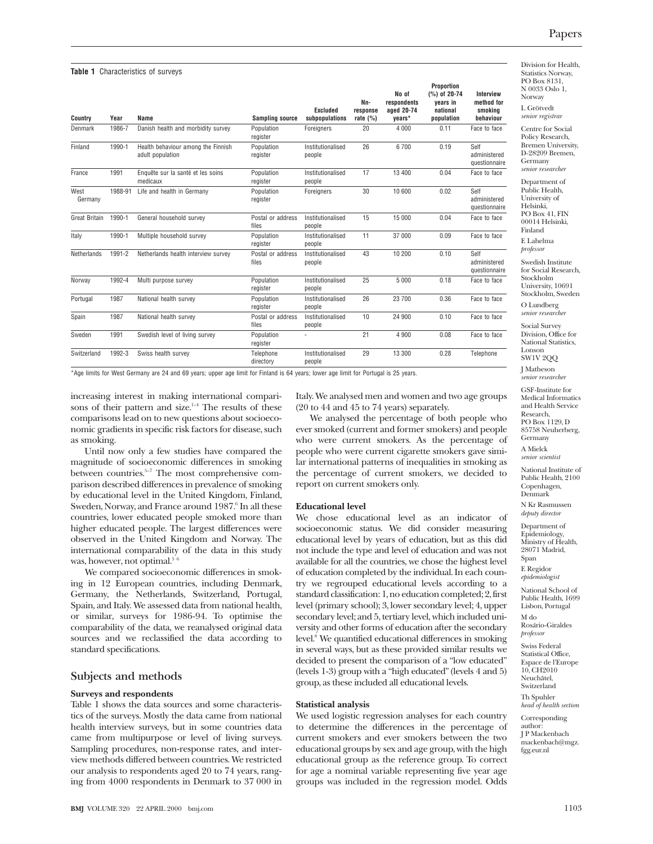Division for Health, Statistics Norway, PO Box 8131, N 0033 Oslo 1, Norway L Grötvedt

Centre for Social Policy Research, Bremen University, D-28209 Bremen, Germany *senior researcher*

*senior registrar*

Department of Public Health, University of Helsinki, PO Box 41, FIN 00014 Helsinki, Finland

E Lahelma *professor*

Swedish Institute for Social Research, Stockholm University, 10691 Stockholm, Sweden O Lundberg

*senior researcher*

Social Survey Division, Office for National Statistics, Lonson

SW1V 2QQ J Matheson

*senior researcher*

GSF-Institute for Medical Informatics and Health Service Research, PO Box 1129, D 85758 Neuherberg,

National Institute of Public Health, 2100 Copenhagen,

Epidemiology, Ministry of Health, 28071 Madrid, Span

*professor*

Swiss Federal Statistical Office. Espace de l'Europe 10, CH<sub>2010</sub> Neuchâtel,

Corresponding author: J P Mackenbach mackenbach@mgz. fgg.eur.nl

|  | Table 1 Characteristics of surveys |  |  |  |
|--|------------------------------------|--|--|--|
|--|------------------------------------|--|--|--|

| Country              | Year    | Name                                                   | <b>Sampling source</b>     | <b>Excluded</b><br>subpopulations | Nn-<br>response<br>rate $(%)$ | No of<br>respondents<br>aged 20-74<br>years* | Proportion<br>(%) of 20-74<br>vears in<br>national<br>population | Interview<br>method for<br>smoking<br>behaviour |
|----------------------|---------|--------------------------------------------------------|----------------------------|-----------------------------------|-------------------------------|----------------------------------------------|------------------------------------------------------------------|-------------------------------------------------|
| Denmark              | 1986-7  | Danish health and morbidity survey                     | Population<br>register     | Foreigners                        | 20                            | 4 0 0 0                                      | 0.11                                                             | Face to face                                    |
| Finland              | 1990-1  | Health behaviour among the Finnish<br>adult population | Population<br>register     | Institutionalised<br>people       | 26                            | 6700                                         | 0.19                                                             | Self<br>administered<br>questionnaire           |
| France               | 1991    | Enquête sur la santé et les soins<br>medicaux          | Population<br>register     | Institutionalised<br>people       | 17                            | 13 400                                       | 0.04                                                             | Face to face                                    |
| West<br>Germany      | 1988-91 | Life and health in Germany                             | Population<br>register     | Foreigners                        | 30                            | 10 600                                       | 0.02                                                             | Self<br>administered<br>questionnaire           |
| <b>Great Britain</b> | 1990-1  | General household survey                               | Postal or address<br>files | Institutionalised<br>people       | 15                            | 15 000                                       | 0.04                                                             | Face to face                                    |
| Italy                | 1990-1  | Multiple household survey                              | Population<br>register     | Institutionalised<br>people       | 11                            | 37 000                                       | 0.09                                                             | Face to face                                    |
| <b>Netherlands</b>   | 1991-2  | Netherlands health interview survey                    | Postal or address<br>files | Institutionalised<br>people       | 43                            | 10 200                                       | 0.10                                                             | Self<br>administered<br>questionnaire           |
| Norway               | 1992-4  | Multi purpose survey                                   | Population<br>register     | Institutionalised<br>people       | 25                            | 5 0 0 0                                      | 0.18                                                             | Face to face                                    |
| Portugal             | 1987    | National health survey                                 | Population<br>register     | Institutionalised<br>people       | 26                            | 23 700                                       | 0.36                                                             | Face to face                                    |
| Spain                | 1987    | National health survey                                 | Postal or address<br>files | Institutionalised<br>people       | 10                            | 24 900                                       | 0.10                                                             | Face to face                                    |
| Sweden               | 1991    | Swedish level of living survey                         | Population<br>register     |                                   | 21                            | 4 9 0 0                                      | 0.08                                                             | Face to face                                    |
| Switzerland          | 1992-3  | Swiss health survey                                    | Telephone<br>directory     | Institutionalised<br>people       | 29                            | 13 300                                       | 0.28                                                             | Telephone                                       |

\*Age limits for West Germany are 24 and 69 years; upper age limit for Finland is 64 years; lower age limit for Portugal is 25 years.

increasing interest in making international comparisons of their pattern and size. $1-4$  The results of these comparisons lead on to new questions about socioeconomic gradients in specific risk factors for disease, such as smoking.

Until now only a few studies have compared the magnitude of socioeconomic differences in smoking between countries.<sup>5-7</sup> The most comprehensive comparison described differences in prevalence of smoking by educational level in the United Kingdom, Finland, Sweden, Norway, and France around 1987.<sup>6</sup> In all these countries, lower educated people smoked more than higher educated people. The largest differences were observed in the United Kingdom and Norway. The international comparability of the data in this study was, however, not optimal.<sup>5</sup><sup>6</sup>

We compared socioeconomic differences in smoking in 12 European countries, including Denmark, Germany, the Netherlands, Switzerland, Portugal, Spain, and Italy. We assessed data from national health, or similar, surveys for 1986-94. To optimise the comparability of the data, we reanalysed original data sources and we reclassified the data according to standard specifications.

# **Subjects and methods**

## **Surveys and respondents**

Table 1 shows the data sources and some characteristics of the surveys. Mostly the data came from national health interview surveys, but in some countries data came from multipurpose or level of living surveys. Sampling procedures, non-response rates, and interview methods differed between countries. We restricted our analysis to respondents aged 20 to 74 years, ranging from 4000 respondents in Denmark to 37 000 in Italy. We analysed men and women and two age groups (20 to 44 and 45 to 74 years) separately.

We analysed the percentage of both people who ever smoked (current and former smokers) and people who were current smokers. As the percentage of people who were current cigarette smokers gave similar international patterns of inequalities in smoking as the percentage of current smokers, we decided to report on current smokers only.

#### **Educational level**

We chose educational level as an indicator of socioeconomic status. We did consider measuring educational level by years of education, but as this did not include the type and level of education and was not available for all the countries, we chose the highest level of education completed by the individual. In each country we regrouped educational levels according to a standard classification: 1, no education completed; 2, first level (primary school); 3, lower secondary level; 4, upper secondary level; and 5, tertiary level, which included university and other forms of education after the secondary level.8 We quantified educational differences in smoking in several ways, but as these provided similar results we decided to present the comparison of a "low educated" (levels 1-3) group with a "high educated" (levels 4 and 5) group, as these included all educational levels.

#### **Statistical analysis**

to determine the differences in the percentage of current smokers and ever smokers between the two educational groups by sex and age group, with the high educational group as the reference group. To correct for age a nominal variable representing five year age groups was included in the regression model. Odds

Germany A Mielck *senior scientist* Denmark

> N Kr Rasmussen *deputy director*

Department of

E Regidor *epidemiologist*

National School of Public Health, 1699 Lisbon, Portugal M do Rosário-Giraldes

Switzerland Th Spuhler *head of health section*

We used logistic regression analyses for each country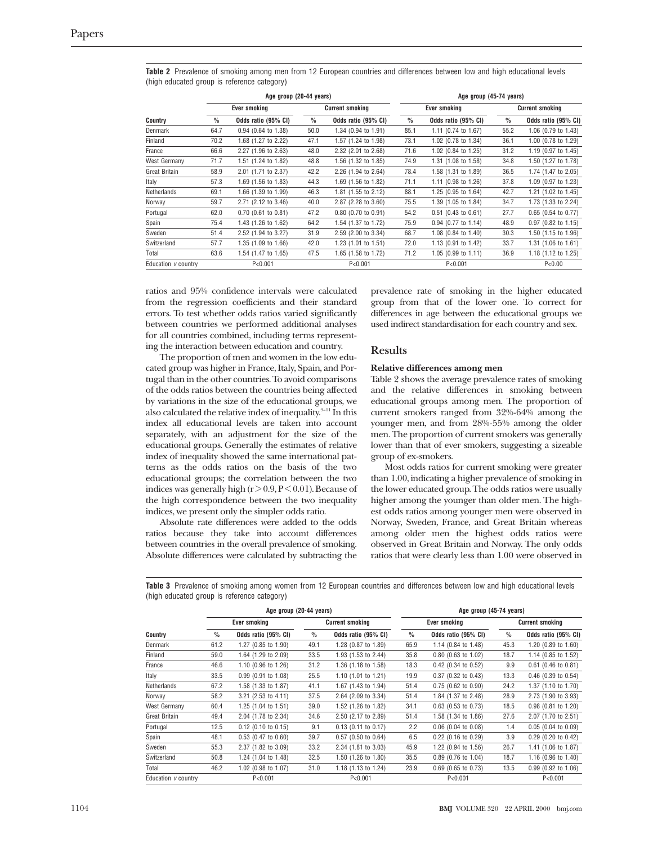|                      | Age group (20-44 years) |                       |                        |                       | Age group (45-74 years) |                       |                        |                                |  |
|----------------------|-------------------------|-----------------------|------------------------|-----------------------|-------------------------|-----------------------|------------------------|--------------------------------|--|
|                      | Ever smoking            |                       | <b>Current smoking</b> |                       | Ever smoking            |                       | <b>Current smoking</b> |                                |  |
| Country              | $\frac{0}{0}$           | Odds ratio (95% CI)   | $\frac{0}{0}$          | Odds ratio (95% CI)   | $\frac{0}{0}$           | Odds ratio (95% CI)   | $\frac{0}{0}$          | Odds ratio (95% CI)            |  |
| Denmark              | 64.7                    | 0.94 (0.64 to 1.38)   | 50.0                   | 1.34 (0.94 to 1.91)   | 85.1                    | 1.11 (0.74 to 1.67)   | 55.2                   | 1.06 (0.79 to 1.43)            |  |
| Finland              | 70.2                    | 1.68 (1.27 to 2.22)   | 47.1                   | 1.57 (1.24 to 1.98)   | 73.1                    | 1.02 (0.78 to 1.34)   | 36.1                   | 1.00 (0.78 to 1.29)            |  |
| France               | 66.6                    | 2.27 (1.96 to 2.63)   | 48.0                   | 2.32 (2.01 to 2.68)   | 71.6                    | 1.02 (0.84 to 1.25)   | 31.2                   | 1.19 (0.97 to 1.45)            |  |
| West Germany         | 71.7                    | 1.51 (1.24 to 1.82)   | 48.8                   | 1.56 (1.32 to 1.85)   | 74.9                    | 1.31 (1.08 to 1.58)   | 34.8                   | 1.50 (1.27 to 1.78)            |  |
| <b>Great Britain</b> | 58.9                    | 2.01 (1.71 to 2.37)   | 42.2                   | 2.26 (1.94 to 2.64)   | 78.4                    | 1.58 (1.31 to 1.89)   | 36.5                   | 1.74 (1.47 to 2.05)            |  |
| Italy                | 57.3                    | 1.69 (1.56 to 1.83)   | 44.3                   | 1.69 (1.56 to 1.82)   | 71.1                    | 1.11 (0.98 to 1.26)   | 37.8                   | 1.09 (0.97 to 1.23)            |  |
| Netherlands          | 69.1                    | 1.66 (1.39 to 1.99)   | 46.3                   | 1.81 (1.55 to 2.12)   | 88.1                    | 1.25 (0.95 to 1.64)   | 42.7                   | 1.21 (1.02 to 1.45)            |  |
| Norway               | 59.7                    | 2.71 (2.12 to 3.46)   | 40.0                   | 2.87 (2.28 to 3.60)   | 75.5                    | 1.39 (1.05 to 1.84)   | 34.7                   | 1.73 (1.33 to 2.24)            |  |
| Portugal             | 62.0                    | $0.70$ (0.61 to 0.81) | 47.2                   | $0.80$ (0.70 to 0.91) | 54.2                    | $0.51$ (0.43 to 0.61) | 27.7                   | $0.65$ (0.54 to 0.77)          |  |
| Spain                | 75.4                    | 1.43 (1.26 to 1.62)   | 64.2                   | 1.54 (1.37 to 1.72)   | 75.9                    | 0.94 (0.77 to 1.14)   | 48.9                   | $0.97$ (0.82 to 1.15)          |  |
| Sweden               | 51.4                    | 2.52 (1.94 to 3.27)   | 31.9                   | 2.59 (2.00 to 3.34)   | 68.7                    | 1.08 (0.84 to 1.40)   | 30.3                   | 1.50 (1.15 to 1.96)            |  |
| Switzerland          | 57.7                    | 1.35 (1.09 to 1.66)   | 42.0                   | 1.23 (1.01 to 1.51)   | 72.0                    | 1.13 (0.91 to 1.42)   | 33.7                   | 1.31 (1.06 to 1.61)            |  |
| Total                | 63.6                    | 1.54 (1.47 to 1.65)   | 47.5                   | 1.65 (1.58 to 1.72)   | 71.2                    | 1.05 (0.99 to 1.11)   | 36.9                   | 1.18 $(1.12 \text{ to } 1.25)$ |  |
| Education v country  |                         | P < 0.001             |                        | P < 0.001             |                         | P < 0.001             |                        | P < 0.00                       |  |

**Table 2** Prevalence of smoking among men from 12 European countries and differences between low and high educational levels (high educated group is reference category)

ratios and 95% confidence intervals were calculated from the regression coefficients and their standard errors. To test whether odds ratios varied significantly between countries we performed additional analyses for all countries combined, including terms representing the interaction between education and country.

The proportion of men and women in the low educated group was higher in France, Italy, Spain, and Portugal than in the other countries. To avoid comparisons of the odds ratios between the countries being affected by variations in the size of the educational groups, we also calculated the relative index of inequality. <sup>9–11</sup> In this index all educational levels are taken into account separately, with an adjustment for the size of the educational groups. Generally the estimates of relative index of inequality showed the same international patterns as the odds ratios on the basis of the two educational groups; the correlation between the two indices was generally high  $(r > 0.9, P < 0.01)$ . Because of the high correspondence between the two inequality indices, we present only the simpler odds ratio.

Absolute rate differences were added to the odds ratios because they take into account differences between countries in the overall prevalence of smoking. Absolute differences were calculated by subtracting the

prevalence rate of smoking in the higher educated group from that of the lower one. To correct for differences in age between the educational groups we used indirect standardisation for each country and sex.

## **Results**

### **Relative differences among men**

Table 2 shows the average prevalence rates of smoking and the relative differences in smoking between educational groups among men. The proportion of current smokers ranged from 32%-64% among the younger men, and from 28%-55% among the older men. The proportion of current smokers was generally lower than that of ever smokers, suggesting a sizeable group of ex-smokers.

Most odds ratios for current smoking were greater than 1.00, indicating a higher prevalence of smoking in the lower educated group. The odds ratios were usually higher among the younger than older men. The highest odds ratios among younger men were observed in Norway, Sweden, France, and Great Britain whereas among older men the highest odds ratios were observed in Great Britain and Norway. The only odds ratios that were clearly less than 1.00 were observed in

**Table 3** Prevalence of smoking among women from 12 European countries and differences between low and high educational levels (high educated group is reference category)

|                      | Age group (20-44 years) |                       |                        |                       | Age group (45-74 years) |                       |                        |                       |  |
|----------------------|-------------------------|-----------------------|------------------------|-----------------------|-------------------------|-----------------------|------------------------|-----------------------|--|
|                      | Ever smoking            |                       | <b>Current smoking</b> |                       | Ever smoking            |                       | <b>Current smoking</b> |                       |  |
| Country              | $\%$                    | Odds ratio (95% CI)   | $\%$                   | Odds ratio (95% CI)   | $\%$                    | Odds ratio (95% CI)   | $\frac{0}{0}$          | Odds ratio (95% CI)   |  |
| Denmark              | 61.2                    | 1.27 (0.85 to 1.90)   | 49.1                   | 1.28 (0.87 to 1.89)   | 65.9                    | 1.14 (0.84 to 1.48)   | 45.3                   | 1.20 (0.89 to 1.60)   |  |
| Finland              | 59.0                    | 1.64 (1.29 to 2.09)   | 33.5                   | 1.93 (1.53 to 2.44)   | 35.8                    | $0.80$ (0.63 to 1.02) | 18.7                   | 1.14 (0.85 to 1.52)   |  |
| France               | 46.6                    | 1.10 (0.96 to 1.26)   | 31.2                   | 1.36 (1.18 to 1.58)   | 18.3                    | 0.42 (0.34 to 0.52)   | 9.9                    | $0.61$ (0.46 to 0.81) |  |
| Italy                | 33.5                    | 0.99 (0.91 to 1.08)   | 25.5                   | 1.10 (1.01 to 1.21)   | 19.9                    | 0.37 (0.32 to 0.43)   | 13.3                   | $0.46$ (0.39 to 0.54) |  |
| Netherlands          | 67.2                    | 1.58 (1.33 to 1.87)   | 41.1                   | 1.67 (1.43 to 1.94)   | 51.4                    | $0.75$ (0.62 to 0.90) | 24.2                   | 1.37 (1.10 to 1.70)   |  |
| Norway               | 58.2                    | 3.21 (2.53 to 4.11)   | 37.5                   | 2.64 (2.09 to 3.34)   | 51.4                    | 1.84 (1.37 to 2.48)   | 28.9                   | 2.73 (1.90 to 3.93)   |  |
| West Germany         | 60.4                    | 1.25 (1.04 to 1.51)   | 39.0                   | 1.52 (1.26 to 1.82)   | 34.1                    | $0.63$ (0.53 to 0.73) | 18.5                   | $0.98$ (0.81 to 1.20) |  |
| <b>Great Britain</b> | 49.4                    | 2.04 (1.78 to 2.34)   | 34.6                   | 2.50 (2.17 to 2.89)   | 51.4                    | 1.58 (1.34 to 1.86)   | 27.6                   | 2.07 (1.70 to 2.51)   |  |
| Portugal             | 12.5                    | $0.12$ (0.10 to 0.15) | 9.1                    | $0.13$ (0.11 to 0.17) | 2.2                     | $0.06$ (0.04 to 0.08) | 1.4                    | $0.05$ (0.04 to 0.09) |  |
| Spain                | 48.1                    | $0.53$ (0.47 to 0.60) | 39.7                   | $0.57$ (0.50 to 0.64) | 6.5                     | $0.22$ (0.16 to 0.29) | 3.9                    | $0.29$ (0.20 to 0.42) |  |
| Sweden               | 55.3                    | 2.37 (1.82 to 3.09)   | 33.2                   | 2.34 (1.81 to 3.03)   | 45.9                    | 1.22 (0.94 to 1.56)   | 26.7                   | 1.41 (1.06 to 1.87)   |  |
| Switzerland          | 50.8                    | 1.24 (1.04 to 1.48)   | 32.5                   | 1.50 (1.26 to 1.80)   | 35.5                    | 0.89 (0.76 to 1.04)   | 18.7                   | 1.16 (0.96 to 1.40)   |  |
| Total                | 46.2                    | 1.02 (0.98 to 1.07)   | 31.0                   | 1.18 (1.13 to 1.24)   | 23.9                    | $0.69$ (0.65 to 0.73) | 13.5                   | $0.99$ (0.92 to 1.06) |  |
| Education v country  |                         | P < 0.001             |                        | P < 0.001             |                         | P < 0.001             |                        | P < 0.001             |  |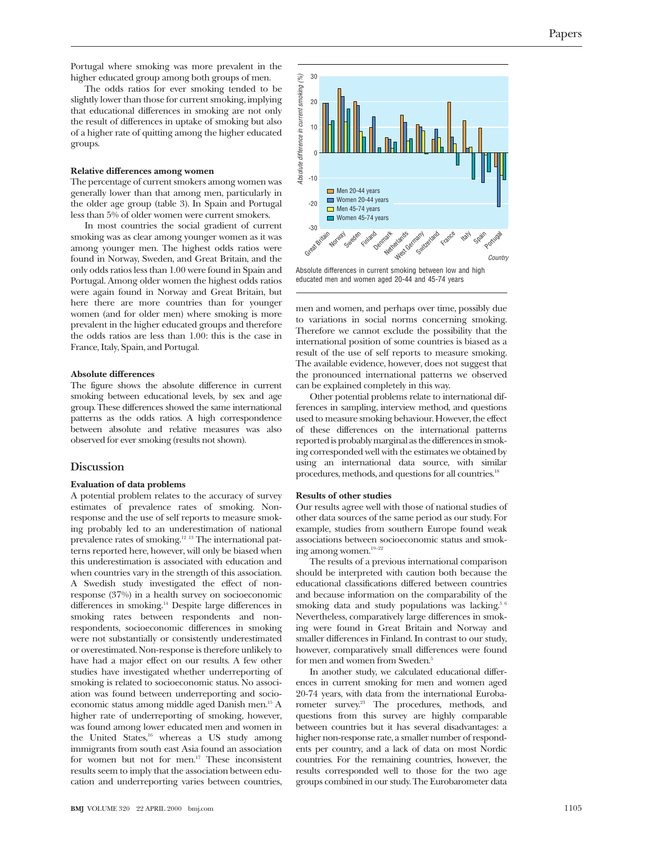The odds ratios for ever smoking tended to be slightly lower than those for current smoking, implying that educational differences in smoking are not only the result of differences in uptake of smoking but also of a higher rate of quitting among the higher educated groups.

### **Relative differences among women**

The percentage of current smokers among women was generally lower than that among men, particularly in the older age group (table 3). In Spain and Portugal less than 5% of older women were current smokers.

In most countries the social gradient of current smoking was as clear among younger women as it was among younger men. The highest odds ratios were found in Norway, Sweden, and Great Britain, and the only odds ratios less than 1.00 were found in Spain and Portugal. Among older women the highest odds ratios were again found in Norway and Great Britain, but here there are more countries than for younger women (and for older men) where smoking is more prevalent in the higher educated groups and therefore the odds ratios are less than 1.00: this is the case in France, Italy, Spain, and Portugal.

#### **Absolute differences**

The figure shows the absolute difference in current smoking between educational levels, by sex and age group. These differences showed the same international patterns as the odds ratios. A high correspondence between absolute and relative measures was also observed for ever smoking (results not shown).

#### **Discussion**

#### **Evaluation of data problems**

A potential problem relates to the accuracy of survey estimates of prevalence rates of smoking. Nonresponse and the use of self reports to measure smoking probably led to an underestimation of national prevalence rates of smoking.12 13 The international patterns reported here, however, will only be biased when this underestimation is associated with education and when countries vary in the strength of this association. A Swedish study investigated the effect of nonresponse (37%) in a health survey on socioeconomic differences in smoking.14 Despite large differences in smoking rates between respondents and nonrespondents, socioeconomic differences in smoking were not substantially or consistently underestimated or overestimated. Non-response is therefore unlikely to have had a major effect on our results. A few other studies have investigated whether underreporting of smoking is related to socioeconomic status. No association was found between underreporting and socioeconomic status among middle aged Danish men.15 A higher rate of underreporting of smoking, however, was found among lower educated men and women in the United States,<sup>16</sup> whereas a US study among immigrants from south east Asia found an association for women but not for men. $17$  These inconsistent results seem to imply that the association between education and underreporting varies between countries,



Absolute differences in current smoking between low and high educated men and women aged 20-44 and 45-74 years

men and women, and perhaps over time, possibly due to variations in social norms concerning smoking. Therefore we cannot exclude the possibility that the international position of some countries is biased as a result of the use of self reports to measure smoking. The available evidence, however, does not suggest that the pronounced international patterns we observed can be explained completely in this way.

Other potential problems relate to international differences in sampling, interview method, and questions used to measure smoking behaviour. However, the effect of these differences on the international patterns reported is probably marginal as the differences in smoking corresponded well with the estimates we obtained by using an international data source, with similar procedures, methods, and questions for all countries.<sup>18</sup>

#### **Results of other studies**

Our results agree well with those of national studies of other data sources of the same period as our study. For example, studies from southern Europe found weak associations between socioeconomic status and smoking among women.19–22

The results of a previous international comparison should be interpreted with caution both because the educational classifications differed between countries and because information on the comparability of the smoking data and study populations was lacking.<sup>5</sup> Nevertheless, comparatively large differences in smoking were found in Great Britain and Norway and smaller differences in Finland. In contrast to our study, however, comparatively small differences were found for men and women from Sweden.<sup>5</sup>

In another study, we calculated educational differences in current smoking for men and women aged 20-74 years, with data from the international Eurobarometer survey.<sup>23</sup> The procedures, methods, and questions from this survey are highly comparable between countries but it has several disadvantages: a higher non-response rate, a smaller number of respondents per country, and a lack of data on most Nordic countries. For the remaining countries, however, the results corresponded well to those for the two age groups combined in our study. The Eurobarometer data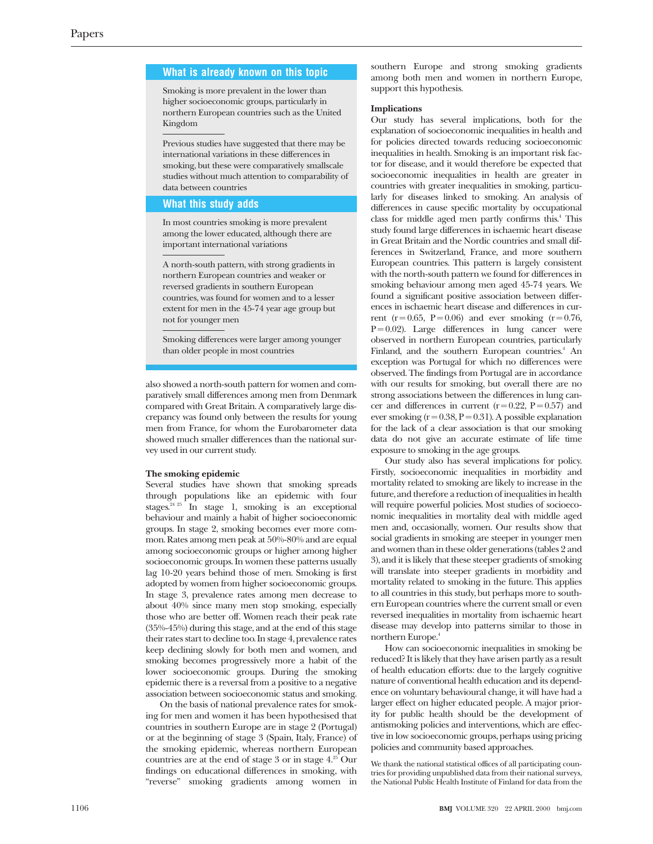## **What is already known on this topic**

Smoking is more prevalent in the lower than higher socioeconomic groups, particularly in northern European countries such as the United Kingdom

Previous studies have suggested that there may be international variations in these differences in smoking, but these were comparatively smallscale studies without much attention to comparability of data between countries

## **What this study adds**

In most countries smoking is more prevalent among the lower educated, although there are important international variations

A north-south pattern, with strong gradients in northern European countries and weaker or reversed gradients in southern European countries, was found for women and to a lesser extent for men in the 45-74 year age group but not for younger men

Smoking differences were larger among younger than older people in most countries

also showed a north-south pattern for women and comparatively small differences among men from Denmark compared with Great Britain. A comparatively large discrepancy was found only between the results for young men from France, for whom the Eurobarometer data showed much smaller differences than the national survey used in our current study.

#### **The smoking epidemic**

Several studies have shown that smoking spreads through populations like an epidemic with four stages.<sup>24 25</sup> In stage 1, smoking is an exceptional behaviour and mainly a habit of higher socioeconomic groups. In stage 2, smoking becomes ever more common. Rates among men peak at 50%-80% and are equal among socioeconomic groups or higher among higher socioeconomic groups. In women these patterns usually lag 10-20 years behind those of men. Smoking is first adopted by women from higher socioeconomic groups. In stage 3, prevalence rates among men decrease to about 40% since many men stop smoking, especially those who are better off. Women reach their peak rate (35%-45%) during this stage, and at the end of this stage their rates start to decline too. In stage 4, prevalence rates keep declining slowly for both men and women, and smoking becomes progressively more a habit of the lower socioeconomic groups. During the smoking epidemic there is a reversal from a positive to a negative association between socioeconomic status and smoking.

On the basis of national prevalence rates for smoking for men and women it has been hypothesised that countries in southern Europe are in stage 2 (Portugal) or at the beginning of stage 3 (Spain, Italy, France) of the smoking epidemic, whereas northern European countries are at the end of stage  $3$  or in stage  $4.^{25}$  Our findings on educational differences in smoking, with "reverse" smoking gradients among women in

southern Europe and strong smoking gradients among both men and women in northern Europe, support this hypothesis.

#### **Implications**

Our study has several implications, both for the explanation of socioeconomic inequalities in health and for policies directed towards reducing socioeconomic inequalities in health. Smoking is an important risk factor for disease, and it would therefore be expected that socioeconomic inequalities in health are greater in countries with greater inequalities in smoking, particularly for diseases linked to smoking. An analysis of differences in cause specific mortality by occupational class for middle aged men partly confirms this.<sup>4</sup> This study found large differences in ischaemic heart disease in Great Britain and the Nordic countries and small differences in Switzerland, France, and more southern European countries. This pattern is largely consistent with the north-south pattern we found for differences in smoking behaviour among men aged 45-74 years. We found a significant positive association between differences in ischaemic heart disease and differences in current (r = 0.65, P = 0.06) and ever smoking (r = 0.76,  $P = 0.02$ ). Large differences in lung cancer were observed in northern European countries, particularly Finland, and the southern European countries.<sup>4</sup> An exception was Portugal for which no differences were observed. The findings from Portugal are in accordance with our results for smoking, but overall there are no strong associations between the differences in lung cancer and differences in current  $(r=0.22, P=0.57)$  and ever smoking ( $r = 0.38$ ,  $P = 0.31$ ). A possible explanation for the lack of a clear association is that our smoking data do not give an accurate estimate of life time exposure to smoking in the age groups.

Our study also has several implications for policy. Firstly, socioeconomic inequalities in morbidity and mortality related to smoking are likely to increase in the future, and therefore a reduction of inequalities in health will require powerful policies. Most studies of socioeconomic inequalities in mortality deal with middle aged men and, occasionally, women. Our results show that social gradients in smoking are steeper in younger men and women than in these older generations (tables 2 and 3), and it is likely that these steeper gradients of smoking will translate into steeper gradients in morbidity and mortality related to smoking in the future. This applies to all countries in this study, but perhaps more to southern European countries where the current small or even reversed inequalities in mortality from ischaemic heart disease may develop into patterns similar to those in northern Europe.<sup>4</sup>

How can socioeconomic inequalities in smoking be reduced? It is likely that they have arisen partly as a result of health education efforts: due to the largely cognitive nature of conventional health education and its dependence on voluntary behavioural change, it will have had a larger effect on higher educated people. A major priority for public health should be the development of antismoking policies and interventions, which are effective in low socioeconomic groups, perhaps using pricing policies and community based approaches.

We thank the national statistical offices of all participating countries for providing unpublished data from their national surveys, the National Public Health Institute of Finland for data from the